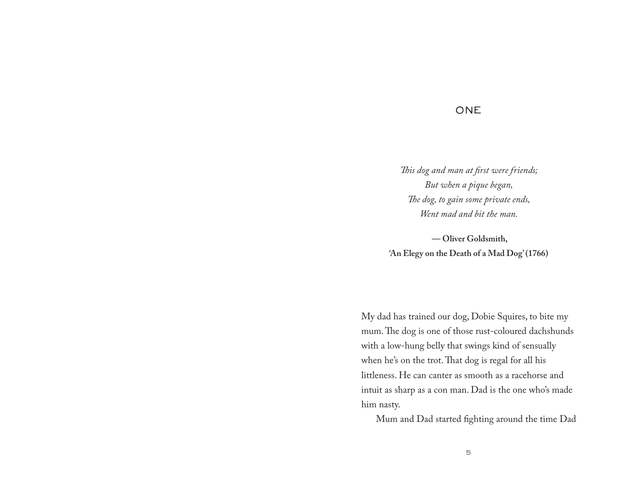## **ONE**

*This dog and man at first were friends; But when a pique began, The dog, to gain some private ends, Went mad and bit the man.*

 **— Oliver Goldsmith, 'An Elegy on the Death of a Mad Dog' (1766)**

My dad has trained our dog, Dobie Squires, to bite my mum. The dog is one of those rust-coloured dachshunds with a low-hung belly that swings kind of sensually when he's on the trot. That dog is regal for all his littleness. He can canter as smooth as a racehorse and intuit as sharp as a con man. Dad is the one who's made him nasty.

Mum and Dad started fighting around the time Dad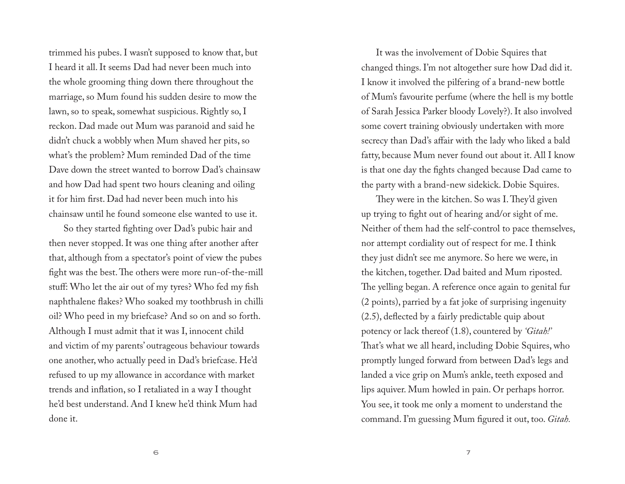trimmed his pubes. I wasn't supposed to know that, but I heard it all. It seems Dad had never been much into the whole grooming thing down there throughout the marriage, so Mum found his sudden desire to mow the lawn, so to speak, somewhat suspicious. Rightly so, I reckon. Dad made out Mum was paranoid and said he didn't chuck a wobbly when Mum shaved her pits, so what's the problem? Mum reminded Dad of the time Dave down the street wanted to borrow Dad's chainsaw and how Dad had spent two hours cleaning and oiling it for him first. Dad had never been much into his chainsaw until he found someone else wanted to use it.

So they started fighting over Dad's pubic hair and then never stopped. It was one thing after another after that, although from a spectator's point of view the pubes fight was the best. The others were more run-of-the-mill stuff: Who let the air out of my tyres? Who fed my fish naphthalene flakes? Who soaked my toothbrush in chilli oil? Who peed in my briefcase? And so on and so forth. Although I must admit that it was I, innocent child and victim of my parents' outrageous behaviour towards one another, who actually peed in Dad's briefcase. He'd refused to up my allowance in accordance with market trends and inflation, so I retaliated in a way I thought he'd best understand. And I knew he'd think Mum had done it.

It was the involvement of Dobie Squires that changed things. I'm not altogether sure how Dad did it. I know it involved the pilfering of a brand-new bottle of Mum's favourite perfume (where the hell is my bottle of Sarah Jessica Parker bloody Lovely?). It also involved some covert training obviously undertaken with more secrecy than Dad's affair with the lady who liked a bald fatty, because Mum never found out about it. All I know is that one day the fights changed because Dad came to the party with a brand-new sidekick. Dobie Squires.

They were in the kitchen. So was I. They'd given up trying to fight out of hearing and/or sight of me. Neither of them had the self-control to pace themselves, nor attempt cordiality out of respect for me. I think they just didn't see me anymore. So here we were, in the kitchen, together. Dad baited and Mum riposted. The yelling began. A reference once again to genital fur (2 points), parried by a fat joke of surprising ingenuity (2.5), deflected by a fairly predictable quip about potency or lack thereof (1.8), countered by *'Gitah!'*  That's what we all heard, including Dobie Squires, who promptly lunged forward from between Dad's legs and landed a vice grip on Mum's ankle, teeth exposed and lips aquiver. Mum howled in pain. Or perhaps horror. You see, it took me only a moment to understand the command. I'm guessing Mum figured it out, too. *Gitah.*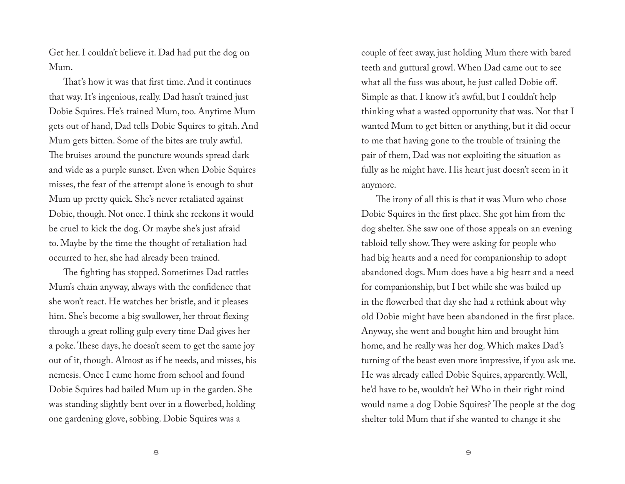Get her. I couldn't believe it. Dad had put the dog on Mum.

That's how it was that first time. And it continues that way. It's ingenious, really. Dad hasn't trained just Dobie Squires. He's trained Mum, too. Anytime Mum gets out of hand, Dad tells Dobie Squires to gitah. And Mum gets bitten. Some of the bites are truly awful. The bruises around the puncture wounds spread dark and wide as a purple sunset. Even when Dobie Squires misses, the fear of the attempt alone is enough to shut Mum up pretty quick. She's never retaliated against Dobie, though. Not once. I think she reckons it would be cruel to kick the dog. Or maybe she's just afraid to. Maybe by the time the thought of retaliation had occurred to her, she had already been trained.

The fighting has stopped. Sometimes Dad rattles Mum's chain anyway, always with the confidence that she won't react. He watches her bristle, and it pleases him. She's become a big swallower, her throat flexing through a great rolling gulp every time Dad gives her a poke. These days, he doesn't seem to get the same joy out of it, though. Almost as if he needs, and misses, his nemesis. Once I came home from school and found Dobie Squires had bailed Mum up in the garden. She was standing slightly bent over in a flowerbed, holding one gardening glove, sobbing. Dobie Squires was a

couple of feet away, just holding Mum there with bared teeth and guttural growl. When Dad came out to see what all the fuss was about, he just called Dobie off. Simple as that. I know it's awful, but I couldn't help thinking what a wasted opportunity that was. Not that I wanted Mum to get bitten or anything, but it did occur to me that having gone to the trouble of training the pair of them, Dad was not exploiting the situation as fully as he might have. His heart just doesn't seem in it anymore.

The irony of all this is that it was Mum who chose Dobie Squires in the first place. She got him from the dog shelter. She saw one of those appeals on an evening tabloid telly show. They were asking for people who had big hearts and a need for companionship to adopt abandoned dogs. Mum does have a big heart and a need for companionship, but I bet while she was bailed up in the flowerbed that day she had a rethink about why old Dobie might have been abandoned in the first place. Anyway, she went and bought him and brought him home, and he really was her dog. Which makes Dad's turning of the beast even more impressive, if you ask me. He was already called Dobie Squires, apparently. Well, he'd have to be, wouldn't he? Who in their right mind would name a dog Dobie Squires? The people at the dog shelter told Mum that if she wanted to change it she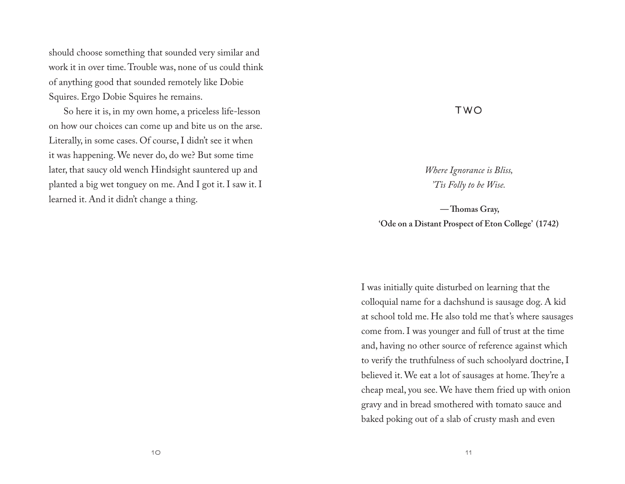should choose something that sounded very similar and work it in over time. Trouble was, none of us could think of anything good that sounded remotely like Dobie Squires. Ergo Dobie Squires he remains.

So here it is, in my own home, a priceless life-lesson on how our choices can come up and bite us on the arse. Literally, in some cases. Of course, I didn't see it when it was happening. We never do, do we? But some time later, that saucy old wench Hindsight sauntered up and planted a big wet tonguey on me. And I got it. I saw it. I learned it. And it didn't change a thing.

## TWO

*Where Ignorance is Bliss, 'Tis Folly to be Wise.*

 **— Thomas Gray, 'Ode on a Distant Prospect of Eton College' (1742)**

I was initially quite disturbed on learning that the colloquial name for a dachshund is sausage dog. A kid at school told me. He also told me that's where sausages come from. I was younger and full of trust at the time and, having no other source of reference against which to verify the truthfulness of such schoolyard doctrine, I believed it. We eat a lot of sausages at home. They're a cheap meal, you see. We have them fried up with onion gravy and in bread smothered with tomato sauce and baked poking out of a slab of crusty mash and even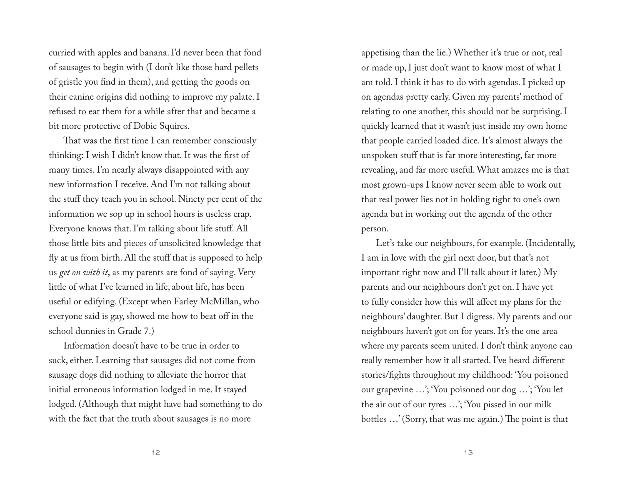curried with apples and banana. I'd never been that fond of sausages to begin with (I don't like those hard pellets of gristle you find in them), and getting the goods on their canine origins did nothing to improve my palate. I refused to eat them for a while after that and became a bit more protective of Dobie Squires.

That was the first time I can remember consciously thinking: I wish I didn't know that*.* It was the first of many times. I'm nearly always disappointed with any new information I receive. And I'm not talking about the stuff they teach you in school. Ninety per cent of the information we sop up in school hours is useless crap. Everyone knows that. I'm talking about life stuff. All those little bits and pieces of unsolicited knowledge that fly at us from birth. All the stuff that is supposed to help us *get on with it*, as my parents are fond of saying. Very little of what I've learned in life, about life, has been useful or edifying. (Except when Farley McMillan, who everyone said is gay, showed me how to beat off in the school dunnies in Grade 7.)

Information doesn't have to be true in order to suck, either. Learning that sausages did not come from sausage dogs did nothing to alleviate the horror that initial erroneous information lodged in me. It stayed lodged. (Although that might have had something to do with the fact that the truth about sausages is no more

appetising than the lie.) Whether it's true or not, real or made up, I just don't want to know most of what I am told. I think it has to do with agendas. I picked up on agendas pretty early. Given my parents' method of relating to one another, this should not be surprising. I quickly learned that it wasn't just inside my own home that people carried loaded dice. It's almost always the unspoken stuff that is far more interesting, far more revealing, and far more useful. What amazes me is that most grown-ups I know never seem able to work out that real power lies not in holding tight to one's own agenda but in working out the agenda of the other person.

Let's take our neighbours, for example. (Incidentally, I am in love with the girl next door, but that's not important right now and I'll talk about it later.) My parents and our neighbours don't get on. I have yet to fully consider how this will affect my plans for the neighbours' daughter. But I digress. My parents and our neighbours haven't got on for years. It's the one area where my parents seem united. I don't think anyone can really remember how it all started. I've heard different stories/fights throughout my childhood: 'You poisoned our grapevine …'; 'You poisoned our dog …'; 'You let the air out of our tyres …'; 'You pissed in our milk bottles …' (Sorry, that was me again.) The point is that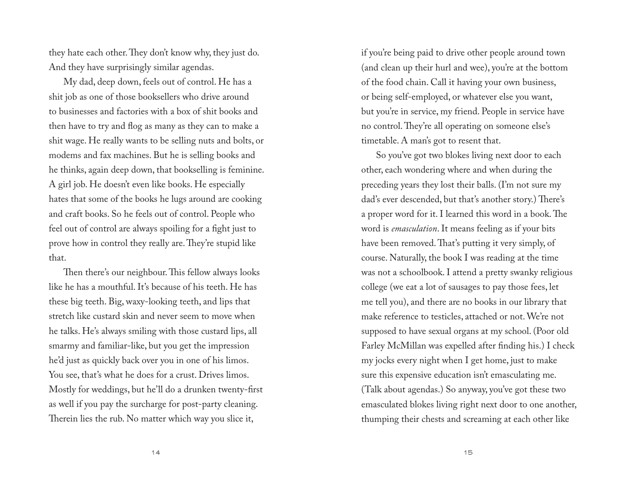they hate each other. They don't know why, they just do. And they have surprisingly similar agendas.

My dad, deep down, feels out of control. He has a shit job as one of those booksellers who drive around to businesses and factories with a box of shit books and then have to try and flog as many as they can to make a shit wage. He really wants to be selling nuts and bolts, or modems and fax machines. But he is selling books and he thinks, again deep down, that bookselling is feminine. A girl job. He doesn't even like books. He especially hates that some of the books he lugs around are cooking and craft books. So he feels out of control. People who feel out of control are always spoiling for a fight just to prove how in control they really are. They're stupid like that.

Then there's our neighbour. This fellow always looks like he has a mouthful. It's because of his teeth. He has these big teeth. Big, waxy-looking teeth, and lips that stretch like custard skin and never seem to move when he talks. He's always smiling with those custard lips, all smarmy and familiar-like, but you get the impression he'd just as quickly back over you in one of his limos. You see, that's what he does for a crust. Drives limos. Mostly for weddings, but he'll do a drunken twenty-first as well if you pay the surcharge for post-party cleaning. Therein lies the rub. No matter which way you slice it,

if you're being paid to drive other people around town (and clean up their hurl and wee), you're at the bottom of the food chain. Call it having your own business, or being self-employed, or whatever else you want, but you're in service, my friend. People in service have no control. They're all operating on someone else's timetable. A man's got to resent that.

So you've got two blokes living next door to each other, each wondering where and when during the preceding years they lost their balls. (I'm not sure my dad's ever descended, but that's another story.) There's a proper word for it. I learned this word in a book. The word is *emasculation*. It means feeling as if your bits have been removed. That's putting it very simply, of course. Naturally, the book I was reading at the time was not a schoolbook. I attend a pretty swanky religious college (we eat a lot of sausages to pay those fees, let me tell you), and there are no books in our library that make reference to testicles, attached or not. We're not supposed to have sexual organs at my school. (Poor old Farley McMillan was expelled after finding his.) I check my jocks every night when I get home, just to make sure this expensive education isn't emasculating me. (Talk about agendas.) So anyway, you've got these two emasculated blokes living right next door to one another, thumping their chests and screaming at each other like